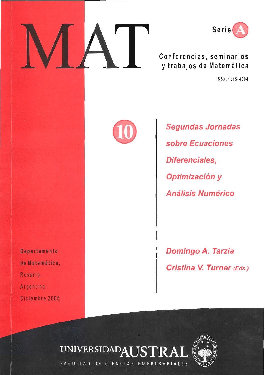



Conferencias, seminarios y trabajos de Matemática

ISSN: 1515-4904



**Segundas Jornadas** sobre Ecuaciones Diferenciales, Optimización y **Análisis Numérico** 

**Domingo A. Tarzia** Cristina V. Turner (Eds.)

Departamento de Matemática, Rosario, Argentina Diciembre 2005



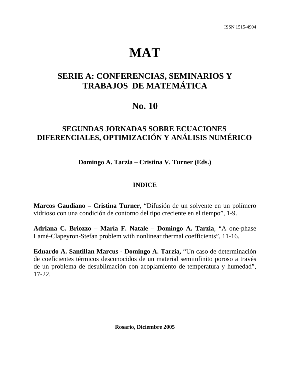# **MAT**

## **SERIE A: CONFERENCIAS, SEMINARIOS Y TRABAJOS DE MATEMÁTICA**

# **No. 10**

### **SEGUNDAS JORNADAS SOBRE ECUACIONES DIFERENCIALES, OPTIMIZACIÓN Y ANÁLISIS NUMÉRICO**

**Domingo A. Tarzia – Cristina V. Turner (Eds.)** 

### **INDICE**

**Marcos Gaudiano – Cristina Turner**, "Difusión de un solvente en un polímero vidrioso con una condición de contorno del tipo creciente en el tiempo", 1-9.

**Adriana C. Briozzo – María F. Natale – Domingo A. Tarzia**, "A one-phase Lamé-Clapeyron-Stefan problem with nonlinear thermal coefficients", 11-16.

**Eduardo A. Santillan Marcus - Domingo A. Tarzia,** "Un caso de determinación de coeficientes térmicos desconocidos de un material semiinfinito poroso a través de un problema de desublimación con acoplamiento de temperatura y humedad", 17-22.

**Rosario, Diciembre 2005**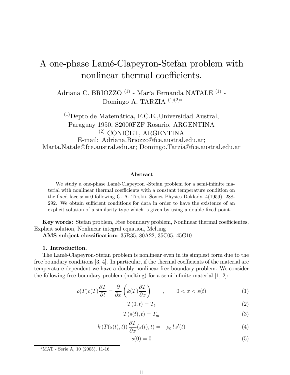# A one-phase Lamé-Clapeyron-Stefan problem with nonlinear thermal coefficients.

 Adriana C. BRIOZZO $^{\left( 1\right) }$  - María Fernanda NATALE $^{\left( 1\right) }$  -Domingo A. TARZIA  $(1)(2)*$ 

 $\rm ^{(1)}$ Depto de Matemática, F.C.E., Universidad Austral, Paraguay 1950, S2000FZF Rosario, ARGENTINA  $(2)$  CONICET, ARGENTINA E-mail: Adriana.Briozzo@fce.austral.edu.ar; María.Natale@fce.austral.edu.ar; Domingo.Tarzia@fce.austral.edu.ar

#### Abstract

We study a one-phase Lamé-Clapeyron -Stefan problem for a semi-infinite material with nonlinear thermal coefficients with a constant temperature condition on the fixed face  $x = 0$  following G. A. Tirskii, Soviet Physics Doklady, 4(1959), 288-292. We obtain sufficient conditions for data in order to have the existence of an explicit solution of a similarity type which is given by using a double fixed point.

**Key words:** Stefan problem, Free boundary problem, Nonlinear thermal coefficientes, Explicit solution, Nonlinear integral equation, Melting

AMS subject classification:  $35R35, 80A22, 35C05, 45G10$ 

#### 1. Introduction.

The Lamé-Clapeyron-Stefan problem is nonlinear even in its simplest form due to the free boundary conditions  $[3, 4]$ . In particular, if the thermal coefficients of the material are temperature-dependent we have a doubly nonlinear free boundary problem. We consider the following free boundary problem (melting) for a semi-infinite material  $[1, 2]$ :

$$
\rho(T)c(T)\frac{\partial T}{\partial t} = \frac{\partial}{\partial x}\left(k(T)\frac{\partial T}{\partial x}\right) \qquad , \qquad 0 < x < s(t) \tag{1}
$$

$$
T(0,t) = T_b \tag{2}
$$

$$
T(s(t),t) = T_m \tag{3}
$$

$$
k(T(s(t),t))\frac{\partial T}{\partial x}(s(t),t) = -\rho_0 \, l \, s'(t) \tag{4}
$$

$$
s(0) = 0 \tag{5}
$$

<sup>\*</sup>MAT - Serie A, 10 (2005), 11-16.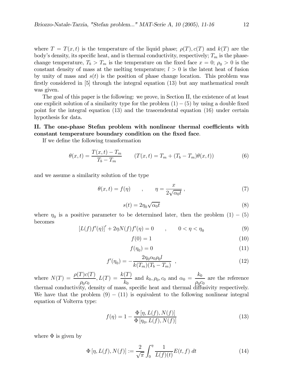where  $T = T(x,t)$  is the temperature of the liquid phase;  $\rho(T), c(T)$  and  $k(T)$  are the body's density, its specific heat, and is thermal conductivity, respectively;  $T_m$  is the phasechange temperature,  $T_b > T_m$  is the temperature on the fixed face  $x = 0$ ;  $\rho_0 > 0$  is the constant density of mass at the melting temperature;  $l > 0$  is the latent heat of fusion by unity of mass and  $s(t)$  is the position of phase change location. This problem was firstly considered in  $[5]$  through the integral equation (13) but any mathematical result was given.

The goal of this paper is the following: we prove, in Section II, the existence of at least one explicit solution of a similarity type for the problem  $(1) - (5)$  by using a double fixed point for the integral equation  $(13)$  and the trascendental equation  $(16)$  under certain hypothesis for data.

### II. The one-phase Stefan problem with nonlinear thermal coefficients with constant temperature boundary condition on the fixed face.

If we define the following transformation

$$
\theta(x,t) = \frac{T(x,t) - T_m}{T_b - T_m} \qquad (T(x,t) = T_m + (T_b - T_m)\theta(x,t)) \tag{6}
$$

and we assume a similarity solution of the type

$$
\theta(x,t) = f(\eta) \qquad , \qquad \eta = \frac{x}{2\sqrt{\alpha_0 t}} \,, \tag{7}
$$

$$
s(t) = 2\eta_0 \sqrt{\alpha_0 t} \tag{8}
$$

where  $\eta_0$  is a positive parameter to be determined later, then the problem  $(1) - (5)$ becomes

$$
[L(f)f'(\eta)]' + 2\eta N(f)f'(\eta) = 0 \qquad , \qquad 0 < \eta < \eta_0 \tag{9}
$$

$$
f(0) = 1\tag{10}
$$

$$
f(\eta_0) = 0 \tag{11}
$$

$$
f'(\eta_0) = -\frac{2\eta_0 \alpha_0 \rho_0 l}{k(T_m)(T_b - T_m)} \quad , \tag{12}
$$

where  $N(T) = \frac{\rho(T)c(T)}{\rho_0 c_0}$ ,  $L(T) = \frac{k(T)}{k_0}$  and  $k_0, \rho_0, c_0$  and  $\alpha_0 = \frac{k_0}{\rho_0 c_0}$  are the reference thermal conductivity, density of mass, specific heat and thermal diffusivity respectively. We have that the problem  $(9) - (11)$  is equivalent to the following nonlinear integral equation of Volterra type:

$$
f(\eta) = 1 - \frac{\Phi[\eta, L(f), N(f)]}{\Phi[\eta_0, L(f), N(f)]}
$$
\n
$$
(13)
$$

where  $\Phi$  is given by

$$
\Phi[\eta, L(f), N(f)] := \frac{2}{\sqrt{\pi}} \int_0^{\eta} \frac{1}{L(f)(t)} E(t, f) dt \tag{14}
$$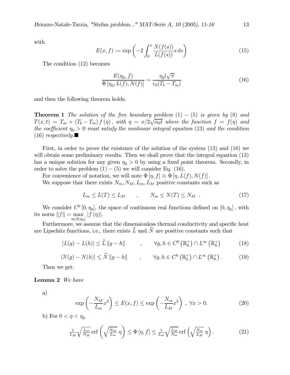with

$$
E(x, f) := \exp\left(-2\int_0^x \frac{N(f(s))}{L(f(s))} s ds\right) \tag{15}
$$

The condition (12) becomes

$$
\frac{E(\eta_0, f)}{\Phi[\eta_0, L(f), N(f)]} = \frac{\eta_0 l \sqrt{\pi}}{c_0 (T_b - T_m)}
$$
(16)

and then the following theorem holds.

**Theorem 1** The solution of the free boundary problem  $(1) - (5)$  is given by  $(8)$  and  $T(x,t) = T_m + (T_b - T_m) f(\eta)$ , with  $\eta = x/2\sqrt{\alpha_0 t}$  where the function  $f = f(\eta)$  and the coefficient  $\eta_0 > 0$  must satisfy the nonlinear integral equation (13) and the condition  $(16)$  respectively.

First, in order to prove the existence of the solution of the system  $(13)$  and  $(16)$  we will obtain some preliminary results. Then we shall prove that the integral equation (13) has a unique solution for any given  $\eta_0 > 0$  by using a fixed point theorem. Secondly, in order to solve the problem  $(1) - (5)$  we will consider Eq. (16).

For convenience of notation, we will note  $\Phi[\eta, f] \equiv \Phi[\eta, L(f), N(f)]$ .

We suppose that there exists  $N_m$ ,  $N_M$ ,  $L_m$ ,  $L_M$  positive constants such as

$$
L_m \le L(T) \le L_M \qquad , \qquad N_m \le N(T) \le N_M \quad . \tag{17}
$$

We consider  $C^0[0, \eta_0]$ , the space of continuous real functions defined on  $[0, \eta_0]$ , with its norm  $\|f\|=\max\limits_{\eta\in[0,\eta_0]}|f\left(\eta\right)|.$ 

Furthermore, we assume that the dimensionless thermal conductivity and specific heat are Lipschitz functions, i.e., there exists  $L$  and  $N$  are positive constants such that

$$
|L(g) - L(h)| \le \widetilde{L} \|g - h\| \qquad , \qquad \forall g, h \in C^{0} \left(\mathbb{R}_{0}^{+}\right) \cap L^{\infty} \left(\mathbb{R}_{0}^{+}\right) \tag{18}
$$

$$
|N(g) - N(h)| \le \widetilde{N} \|g - h\| \qquad , \qquad \forall g, h \in C^{0} \left(\mathbb{R}_{0}^{+}\right) \cap L^{\infty} \left(\mathbb{R}_{0}^{+}\right). \tag{19}
$$

Then we get:

Lemma 2 We have

a)

$$
\exp\left(-\frac{N_M}{L_m}x^2\right) \le E(x,f) \le \exp\left(-\frac{N_m}{L_M}x^2\right), \ \forall x > 0. \tag{20}
$$

b) For  $0 < \eta < \eta_0$ 

$$
\frac{1}{L_M} \sqrt{\frac{L_m}{N_M}} \operatorname{erf}\left(\sqrt{\frac{N_M}{L_m}} \eta\right) \le \Phi\left[\eta, f\right] \le \frac{1}{L_m} \sqrt{\frac{L_M}{N_m}} \operatorname{erf}\left(\sqrt{\frac{N_m}{L_M}} \eta\right). \tag{21}
$$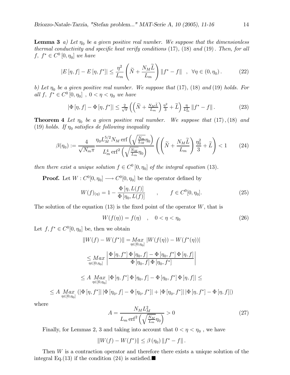**Lemma 3** a) Let  $\eta_0$  be a given positive real number. We suppose that the dimensionless thermal conductivity and specific heat verify conditions  $(17)$ ,  $(18)$  and  $(19)$ . Then, for all  $f, f^* \in C^0[0, \eta_0]$  we have

$$
|E\left[\eta, f\right] - E\left[\eta, f^*\right]| \leq \frac{\eta^2}{L_m} \left(\widetilde{N} + \frac{N_M \widetilde{L}}{L_m}\right) \|f^* - f\| \quad , \quad \forall \eta \in (0, \eta_0). \tag{22}
$$

b) Let  $\eta_0$  be a given positive real number. We suppose that (17), (18) and (19) holds. For all f,  $f^* \in C^0[0, \eta_0]$ ,  $0 < \eta < \eta_0$  we have

$$
\left|\Phi\left[\eta,f\right]-\Phi\left[\eta,f^*\right]\right| \le \frac{2}{\sqrt{\pi}}\left(\left(\widetilde{N} + \frac{N_M\widetilde{L}}{L_m}\right)\frac{\eta^2}{3} + \widetilde{L}\right)\frac{\eta}{L_m^2} \|f^* - f\|.
$$
\n(23)

**Theorem 4** Let  $\eta_0$  be a given positive real number. We suppose that  $(17)$ ,  $(18)$  and (19) holds. If  $\eta_0$  satisfies de following inequality

$$
\beta(\eta_0) := \frac{4}{\sqrt{N_m \pi}} \frac{\eta_0 L_M^{5/2} N_M \operatorname{erf}\left(\sqrt{\frac{N_m}{L_M}} \eta_0\right)}{L_m^4 \operatorname{erf}^2\left(\sqrt{\frac{N_M}{L_m}} \eta_0\right)} \left(\left(\tilde{N} + \frac{N_M \tilde{L}}{L_m}\right) \frac{\eta_0^2}{3} + \tilde{L}\right) < 1\tag{24}
$$

then there exist a unique solution  $f \in C^0[0, \eta_0]$  of the integral equation (13).

**Proof.** Let  $W: C^0[0, \eta_0] \longrightarrow C^0[0, \eta_0]$  be the operator defined by

$$
W(f)_{(\eta)} = 1 - \frac{\Phi[\eta, L(f)]}{\Phi[\eta_0, L(f)]} \qquad , \qquad f \in C^0[0, \eta_0]. \tag{25}
$$

The solution of the equation (13) is the fixed point of the operator  $W$ , that is

$$
W(f(\eta)) = f(\eta) \quad , \quad 0 < \eta < \eta_0 \tag{26}
$$

Let  $f, f^* \in C^0[0, \eta_0]$  be, then we obtain

$$
||W(f) - W(f^*)|| = Max_{\eta \in [0, \eta_0]} |W(f(\eta)) - W(f^*(\eta))|
$$
  
\n
$$
\leq Max_{\eta \in [0, \eta_0]} \left| \frac{\Phi[\eta, f^*] \Phi[\eta_0, f] - \Phi[\eta_0, f^*] \Phi[\eta, f]}{\Phi[\eta_0, f] \Phi[\eta_0, f^*]} \right|
$$
  
\n
$$
\leq A \max_{\eta \in [0, \eta_0]} |\Phi[\eta, f^*] \Phi[\eta_0, f] - \Phi[\eta_0, f^*] \Phi[\eta, f]| \leq
$$
  
\n
$$
\leq A \max_{\eta \in [0, \eta_0]} (|\Phi[\eta, f^*]|| \Phi[\eta_0, f] - \Phi[\eta_0, f^*]| + |\Phi[\eta_0, f^*]|| \Phi[\eta, f^*] - \Phi[\eta, f]|)
$$

where

$$
A = \frac{N_M L_M^2}{L_m \,\text{erf}^2 \left(\sqrt{\frac{N_M}{L_m}} \eta_0\right)} > 0\tag{27}
$$

Finally, for Lemmas 2, 3 and taking into account that  $0 < \eta < \eta_0$  , we have

 $||W(f) - W(f^*)|| \leq \beta(\eta_0) ||f^* - f||.$ 

Then  $W$  is a contraction operator and therefore there exists a unique solution of the integral Eq. (13) if the condition (24) is satisfied.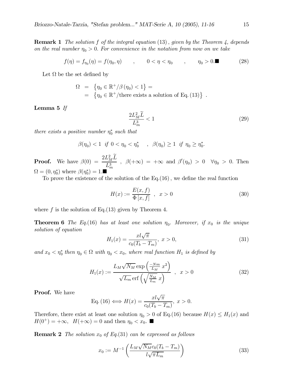**Remark 1** The solution f of the integral equation  $(13)$ , given by the Theorem 4, depends on the real number  $\eta_0 > 0$ . For convenience in the notation from now on we take

$$
f(\eta) = f_{\eta_0}(\eta) = f(\eta_0, \eta) \qquad , \qquad 0 < \eta < \eta_0 \qquad , \qquad \eta_0 > 0. \tag{28}
$$

Let  $\Omega$  be the set defined by

$$
\Omega = \{ \eta_0 \in \mathbb{R}^+ / \beta(\eta_0) < 1 \} =
$$
\n
$$
= \{ \eta_0 \in \mathbb{R}^+ / \text{there exists a solution of Eq. (13)} \}
$$

Lemma  $5$  If

$$
\frac{2L_M^2\widetilde{L}}{L_m^3} < 1\tag{29}
$$

there exists a positive number  $\eta_0^*$  such that

 $\beta(\eta_0) < 1$  if  $0 < \eta_0 < \eta_0^*$ ,  $\beta(\eta_0) \ge 1$  if  $\eta_0 \ge \eta_0^*$ .

**Proof.** We have  $\beta(0) = \frac{2L_M^2 \tilde{L}}{L_m^3}$ ,  $\beta(+\infty) = +\infty$  and  $\beta'(\eta_0) > 0 \quad \forall \eta_0 > 0$ . Then  $\Omega = (0, \eta_0^*)$  where  $\beta(\eta_0^*) = 1$ .

To prove the existence of the solution of the  $Eq.(16)$ , we define the real function

$$
H(x) := \frac{E(x, f)}{\Phi[x, f]}, \quad x > 0
$$
\n(30)

where  $f$  is the solution of Eq. (13) given by Theorem 4.

**Theorem 6** The Eq. (16) has at least one solution  $\eta_0$ . Moreover, if  $x_0$  is the unique solution of equation

$$
H_1(x) = \frac{x \sqrt{\pi}}{c_0 (T_b - T_m)}, \ x > 0,
$$
\n(31)

and  $x_0 < \eta_0^*$  then  $\eta_0 \in \Omega$  with  $\eta_0 < x_0$ , where real function  $H_1$  is defined by

$$
H_1(x) := \frac{L_M \sqrt{N_M} \exp\left(\frac{-Nm}{L_M} x^2\right)}{\sqrt{L_m} \operatorname{erf}\left(\sqrt{\frac{N_M}{L_m}} x\right)} , \quad x > 0 \tag{32}
$$

**Proof.** We have

Eq. (16) 
$$
\Longleftrightarrow H(x) = \frac{x l \sqrt{\pi}}{c_0 (T_b - T_m)}, x > 0.
$$

Therefore, there exist at least one solution  $\eta_0 > 0$  of Eq.(16) because  $H(x) \leq H_1(x)$  and  $H(0^+) = +\infty$ ,  $H(+\infty) = 0$  and then  $\eta_0 < x_0$ .

**Remark 2** The solution  $x_0$  of Eq. (31) can be expressed as follows

$$
x_0 := M^{-1} \left( \frac{L_M \sqrt{N_M} c_0 (T_b - T_m)}{l \sqrt{\pi L_m}} \right) \tag{33}
$$